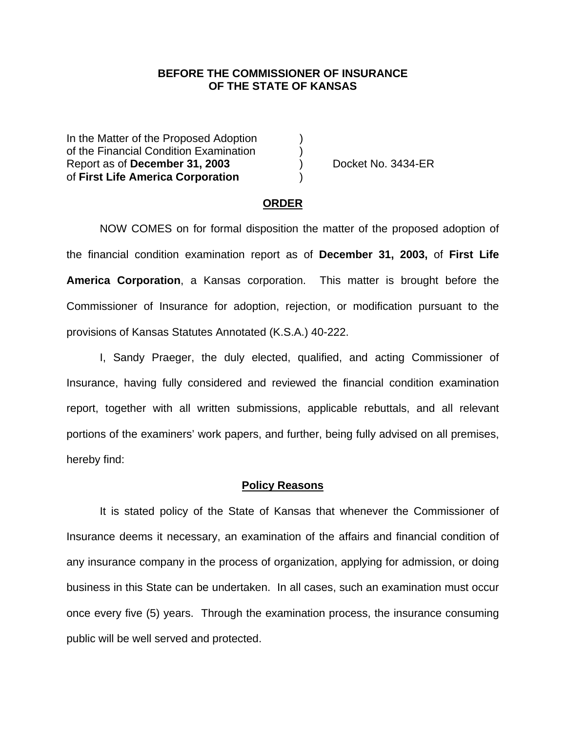## **BEFORE THE COMMISSIONER OF INSURANCE OF THE STATE OF KANSAS**

In the Matter of the Proposed Adoption of the Financial Condition Examination ) Report as of **December 31, 2003** ) Docket No. 3434-ER of **First Life America Corporation** )

#### **ORDER**

 NOW COMES on for formal disposition the matter of the proposed adoption of the financial condition examination report as of **December 31, 2003,** of **First Life America Corporation**, a Kansas corporation. This matter is brought before the Commissioner of Insurance for adoption, rejection, or modification pursuant to the provisions of Kansas Statutes Annotated (K.S.A.) 40-222.

 I, Sandy Praeger, the duly elected, qualified, and acting Commissioner of Insurance, having fully considered and reviewed the financial condition examination report, together with all written submissions, applicable rebuttals, and all relevant portions of the examiners' work papers, and further, being fully advised on all premises, hereby find:

#### **Policy Reasons**

 It is stated policy of the State of Kansas that whenever the Commissioner of Insurance deems it necessary, an examination of the affairs and financial condition of any insurance company in the process of organization, applying for admission, or doing business in this State can be undertaken. In all cases, such an examination must occur once every five (5) years. Through the examination process, the insurance consuming public will be well served and protected.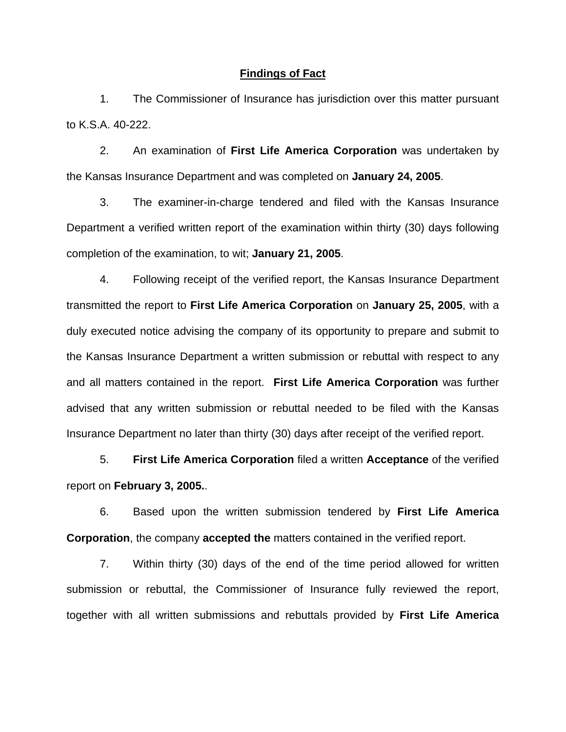#### **Findings of Fact**

 1. The Commissioner of Insurance has jurisdiction over this matter pursuant to K.S.A. 40-222.

 2. An examination of **First Life America Corporation** was undertaken by the Kansas Insurance Department and was completed on **January 24, 2005**.

 3. The examiner-in-charge tendered and filed with the Kansas Insurance Department a verified written report of the examination within thirty (30) days following completion of the examination, to wit; **January 21, 2005**.

 4. Following receipt of the verified report, the Kansas Insurance Department transmitted the report to **First Life America Corporation** on **January 25, 2005**, with a duly executed notice advising the company of its opportunity to prepare and submit to the Kansas Insurance Department a written submission or rebuttal with respect to any and all matters contained in the report. **First Life America Corporation** was further advised that any written submission or rebuttal needed to be filed with the Kansas Insurance Department no later than thirty (30) days after receipt of the verified report.

 5. **First Life America Corporation** filed a written **Acceptance** of the verified report on **February 3, 2005.**.

 6. Based upon the written submission tendered by **First Life America Corporation**, the company **accepted the** matters contained in the verified report.

 7. Within thirty (30) days of the end of the time period allowed for written submission or rebuttal, the Commissioner of Insurance fully reviewed the report, together with all written submissions and rebuttals provided by **First Life America**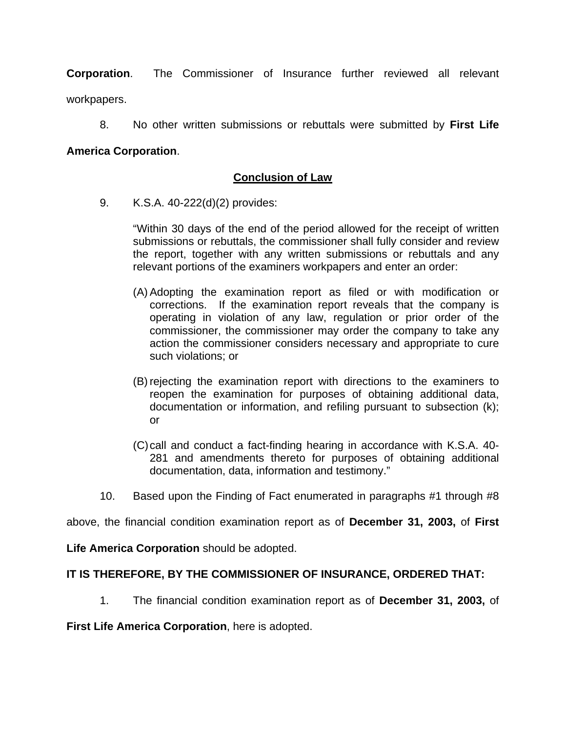**Corporation**. The Commissioner of Insurance further reviewed all relevant workpapers.

8. No other written submissions or rebuttals were submitted by **First Life** 

# **America Corporation**.

# **Conclusion of Law**

9. K.S.A. 40-222(d)(2) provides:

"Within 30 days of the end of the period allowed for the receipt of written submissions or rebuttals, the commissioner shall fully consider and review the report, together with any written submissions or rebuttals and any relevant portions of the examiners workpapers and enter an order:

- (A) Adopting the examination report as filed or with modification or corrections. If the examination report reveals that the company is operating in violation of any law, regulation or prior order of the commissioner, the commissioner may order the company to take any action the commissioner considers necessary and appropriate to cure such violations; or
- (B) rejecting the examination report with directions to the examiners to reopen the examination for purposes of obtaining additional data, documentation or information, and refiling pursuant to subsection (k); or
- (C) call and conduct a fact-finding hearing in accordance with K.S.A. 40- 281 and amendments thereto for purposes of obtaining additional documentation, data, information and testimony."
- 10. Based upon the Finding of Fact enumerated in paragraphs #1 through #8

above, the financial condition examination report as of **December 31, 2003,** of **First** 

**Life America Corporation** should be adopted.

## **IT IS THEREFORE, BY THE COMMISSIONER OF INSURANCE, ORDERED THAT:**

1. The financial condition examination report as of **December 31, 2003,** of

### **First Life America Corporation**, here is adopted.